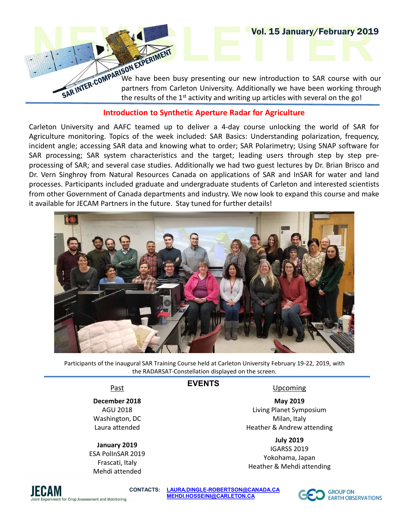**VOI. 15 January/February 2019**<br>
SON EXPERIMENT<br>
We have been busy presenting our new introduction to SAR course with our<br>
partners from Carleton University. Additionally we have been working through<br>
the results of the 1<sup></sup> **PARTIMENT SOMEAS THE CARLET STATE OF A SCHOOL ASSESS**<br>FOR EXPERIMENT SOME ARE BERN UNIVERSITY OF A SUPPOSE WE have been busy presenting our new introduction to SAR course with our partners from Carleton University. Additi **EXPERIMENT**<br> **SON EXPERIMENT**<br>
SON EXPERIMENT<br>
We have been busy presenting our new introduction to SAR course with our<br>
partners from Carleton University. Additionally we have been working through<br>
the results of the 1<sup>s</sup>

Vol. 15 January/February 2019

## Introduction to Synthetic Aperture Radar for Agriculture

**CARLET ANTIFER COMPAREM CARLET AND THE CARLET AND THE COMPAREM UNIVERSITY OF A SAR CULTUS AND THE CARLET AND THE CARLET AND THE CARLET A CARLET AND THE CARLET A CARLET A CARLET A CARLET A CARLET A CARLET A CARLET A CARLET EVERT AGRICULTURE THE SECT WATER WARREN WERTHER THE SET AND THE REAL PROPERTIES OF THE REAL PROPERTIES OF THE SAR BASICS: THE CAPT OF THE SAR BASICS: UNDER THE SAR BASICS: UNDER A BASIC SUPPORT CONTINUES AND A SARK AND TH Example;** and the same that to order; same through the comment and the results of the 1<sup>st</sup> activity and witting up articles with several on the gold careform. The results of the 1<sup>st</sup> activity and witting up articles wit Vol. 15 January/February 2019<br>
SAR INTER-CONDENSIVE TO CONDENSIVE THE TARGENT ON THE TARGENT ON THE TARGENT ON THE TARGENT ON THE TARGENT ON THE TARGENT ON THE TARGENT ON THE TARGENT ON THE TARGENT ON THE CONDENSIVE THE CO **Processing of SAR; and several case studies. Additionally we have now look to expand the gold case studies of the 1<sup>3</sup> activity and writing up articles with several on the gold introduction to Synthetic Aperture Radar for** Vol. 15 January/February 2019<br>
SAR INTERA CONVERGENT WE have been busy presenting our new introduction to SAR course with our<br>
partners from Carleton University. Additionally we have been working through<br>
the results of th **PROCESSES. PARTICIPATE SCINCT AND A SUBSERVERT AND THE CONDUCT THE CONDUCT THE CONDUCT THANGED IN THE CONDUCT THE CONDUCT THANGED IN THE CONDUCT THANGED INTO A CONDUCT THE CONDUCT THANGED INTO A CONDUCT THE CONDUCT THANGE** Vol. 15 January/February 2019<br>
SARINTER CONNERN TOW EXPERIMENT<br>
SARINTER CONNERN TWE have been busy presenting our new introduction to SAR course with our<br>
partners from Carl Conners of Canada departments and ACT the resul **Example for JECAM Partners in the partners in the future.** Stay tuned for the example of the mean the function of the mean the function of the mean the function of the mean the function of the mean of the same of the mean



Participants of the inaugural SAR Training Course held at Carleton University February 19-22, 2019, with the RADARSAT-Constellation displayed on the screen.

EVENTS

## Past

December 2018

AGU 2018 Washington, DC Laura attended

## January 2019

ESA PolInSAR 2019 Frascati, Italy Mehdi attended

# Upcoming

May 2019 Living Planet Symposium Milan, Italy Heather & Andrew attending

July 2019

IGARSS 2019 Yokohama, Japan Heather & Mehdi attending



CONTACTS: LAURA.DINGLE-ROBERTSON@CANADA.CA GROUP ON MEHDI.HOSSEINI@CARLETON.CA EARTH OBSERVATIONS